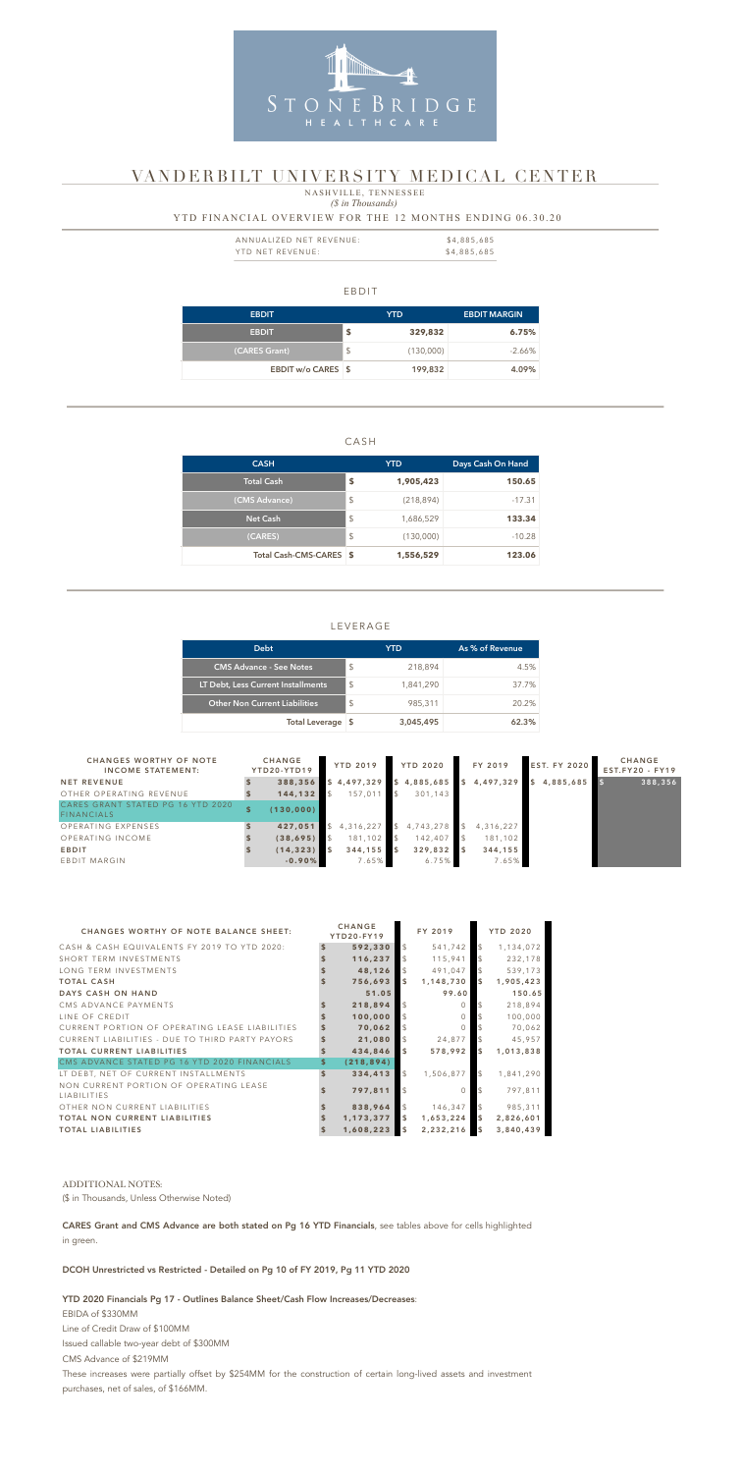#### EBDIT

| <b>EBDIT</b>       |               | YTD.      | <b>EBDIT MARGIN</b> |
|--------------------|---------------|-----------|---------------------|
| <b>EBDIT</b>       | \$            | 329,832   | 6.75%               |
| (CARES Grant)      | $\frac{1}{2}$ | (130,000) | $-2.66\%$           |
| EBDIT w/o CARES \$ |               | 199,832   | 4.09%               |

## CASH

| <b>CASH</b>             |                         | <b>YTD</b> | Days Cash On Hand |  |  |
|-------------------------|-------------------------|------------|-------------------|--|--|
| <b>Total Cash</b>       | S                       | 1,905,423  | 150.65            |  |  |
| (CMS Advance)           | \$                      | (218, 894) | $-17.31$          |  |  |
| <b>Net Cash</b>         | $\sqrt[6]{\frac{1}{2}}$ | 1,686,529  | 133.34            |  |  |
| (CARES)                 | \$                      | (130,000)  | $-10.28$          |  |  |
| Total Cash-CMS-CARES \$ |                         | 1,556,529  | 123.06            |  |  |

| ANNUALIZED NET REVENUE: | \$4,885,685 |
|-------------------------|-------------|
| YTD NET REVENUE:        | \$4,885,685 |

## LEVERAGE

 *(\$ in Thousands)* NASHVILLE, TENNESSEE

### YTD FINANCIAL OVERVIEW FOR THE 12 MONTHS ENDING 06.30.20

| <b>Debt</b>                          |               | YTD       | As % of Revenue |
|--------------------------------------|---------------|-----------|-----------------|
| <b>CMS Advance - See Notes</b>       | <sup>\$</sup> | 218,894   | 4.5%            |
| LT Debt, Less Current Installments   | $\mathcal{L}$ | 1,841,290 | 37.7%           |
| <b>Other Non Current Liabilities</b> | $\mathcal{S}$ | 985,311   | 20.2%           |
| Total Leverage \$                    |               | 3,045,495 | 62.3%           |



# VANDERBILT UNIVERSITY MEDICAL CENTER

| <b>CHANGES WORTHY OF NOTE</b><br><b>INCOME STATEMENT:</b> | <b>CHANGE</b><br>YTD20-YTD19 | <b>YTD 2019</b> |    | <b>YTD 2020</b> | FY 2019   | <b>EST. FY 2020</b> | <b>CHANGE</b><br>EST.FY20 - FY19 |
|-----------------------------------------------------------|------------------------------|-----------------|----|-----------------|-----------|---------------------|----------------------------------|
| <b>NET REVENUE</b>                                        | 388,356                      | \$4,497,329     | S. | 4,885,685       | 4,497,329 | 4,885,685           | 388,356                          |
| OTHER OPERATING REVENUE                                   | 144,132                      | 157,011         |    | 301.143         |           |                     |                                  |
| CARES GRANT STATED PG 16 YTD 2020<br><b>FINANCIALS</b>    | (130,000)                    |                 |    |                 |           |                     |                                  |
| OPERATING EXPENSES                                        | 427,051                      | 4,316,227       |    | 4,743,278       | 4,316,227 |                     |                                  |
| OPERATING INCOME                                          | (38, 695)                    | 181,102         |    | 142,407         | 181,102   |                     |                                  |
| <b>EBDIT</b>                                              | (14, 323)                    | 344,155         |    | 329,832         | 344, 155  |                     |                                  |
| EBDIT MARGIN                                              | $-0.90%$                     | 7.65%           |    | 6.75%           | 7.65%     |                     |                                  |

| <b>CHANGES WORTHY OF NOTE BALANCE SHEET:</b>                 |                    | <b>CHANGE</b><br><b>YTD20-FY19</b> |                         | FY 2019   |                | <b>YTD 2020</b> |
|--------------------------------------------------------------|--------------------|------------------------------------|-------------------------|-----------|----------------|-----------------|
| CASH & CASH EQUIVALENTS FY 2019 TO YTD 2020:                 |                    | 592,330                            | $\mathcal{L}$           | 541,742   | \$             | 1,134,072       |
| SHORT TERM INVESTMENTS                                       |                    | 116,237                            | $\mathcal{L}$           | 115,941   | \$             | 232,178         |
| LONG TERM INVESTMENTS                                        |                    | 48,126                             | $\mathcal{S}$           | 491,047   |                | 539,173         |
| <b>TOTAL CASH</b>                                            |                    | 756,693                            | $\overline{\mathbf{5}}$ | 1,148,730 | \$             | 1,905,423       |
| DAYS CASH ON HAND                                            |                    | 51.05                              |                         | 99.60     |                | 150.65          |
| CMS ADVANCE PAYMENTS                                         |                    | 218,894                            | $\mathcal{S}$           | ∩         |                | 218,894         |
| LINE OF CREDIT                                               |                    | 100,000                            |                         | $\cap$    |                | 100,000         |
| CURRENT PORTION OF OPERATING LEASE LIABILITIES               |                    | 70,062                             | $\mathcal{S}$           | $\cap$    |                | 70,062          |
| CURRENT LIABILITIES - DUE TO THIRD PARTY PAYORS              |                    | 21,080                             | $\mathcal{S}$           | 24,877    |                | 45,957          |
| <b>TOTAL CURRENT LIABILITIES</b>                             |                    | 434,846                            | $\mathbf{s}$            | 578,992   | \$             | 1,013,838       |
| CMS ADVANCE STATED PG 16 YTD 2020 FINANCIALS                 |                    | (218, 894)                         |                         |           |                |                 |
| LT DEBT, NET OF CURRENT INSTALLMENTS                         | $\mathbf{\hat{S}}$ | 334,413                            | $\mathcal{L}$           | 1,506,877 | \$             | 1,841,290       |
| NON CURRENT PORTION OF OPERATING LEASE<br><b>LIABILITIES</b> |                    | 797,811                            | $\mathcal{S}$           | $\Omega$  |                | 797,811         |
| OTHER NON CURRENT LIABILITIES                                |                    | 838,964                            | $\sqrt{3}$              | 146,347   | \$             | 985,311         |
| <b>TOTAL NON CURRENT LIABILITIES</b>                         |                    | 1,173,377                          | $\overline{\mathbf{5}}$ | 1,653,224 | \$             | 2,826,601       |
| <b>TOTAL LIABILITIES</b>                                     |                    | 1,608,223                          | $\overline{\mathbf{5}}$ | 2,232,216 | $\mathfrak{s}$ | 3,840,439       |

### ADDITIONAL NOTES:

(\$ in Thousands, Unless Otherwise Noted)

CARES Grant and CMS Advance are both stated on Pg 16 YTD Financials, see tables above for cells highlighted in green.

DCOH Unrestricted vs Restricted - Detailed on Pg 10 of FY 2019, Pg 11 YTD 2020

#### YTD 2020 Financials Pg 17 - Outlines Balance Sheet/Cash Flow Increases/Decreases:

EBIDA of \$330MM Line of Credit Draw of \$100MM Issued callable two-year debt of \$300MM CMS Advance of \$219MM These increases were partially offset by \$254MM for the construction of certain long-lived assets and investment purchases, net of sales, of \$166MM.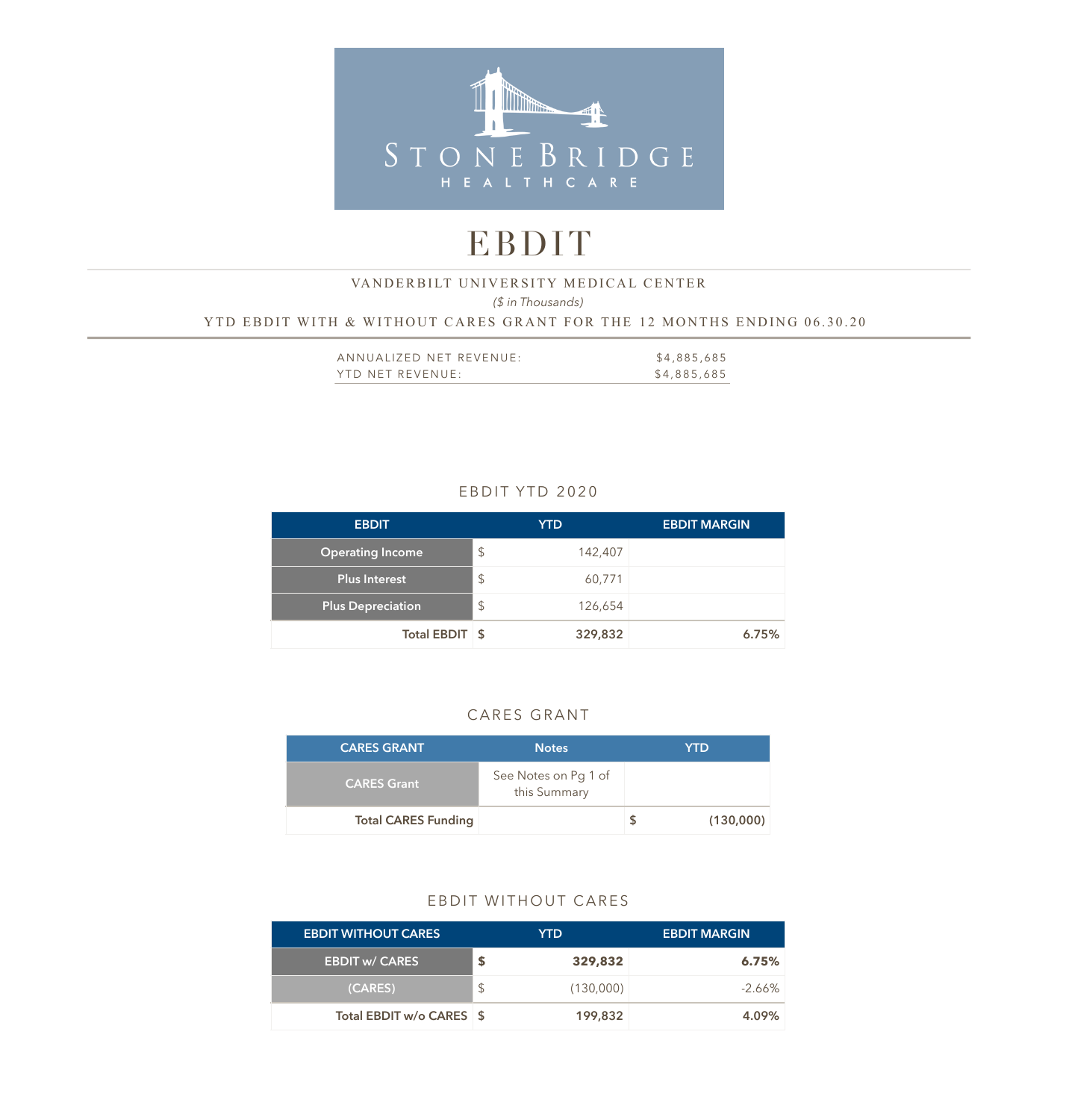

# EBDIT

# *(\$ in Thousands)*  YTD EBDIT WITH & WITHOUT CARES GRANT FOR THE 12 MONTHS ENDING 06.30.20 VANDERBILT UNIVERSITY MEDICAL CENTER

| ANNUALIZED NET REVENUE: | \$4,885,685 |
|-------------------------|-------------|
| YTD NET REVENUE:        | \$4,885,685 |

# EBDIT YTD 2020

| <b>EBDIT</b>             |               | <b>YTD</b> | <b>EBDIT MARGIN</b> |
|--------------------------|---------------|------------|---------------------|
| <b>Operating Income</b>  | $\frac{1}{2}$ | 142,407    |                     |
| <b>Plus Interest</b>     | $\mathcal{L}$ | 60,771     |                     |
| <b>Plus Depreciation</b> | $\frac{1}{2}$ | 126,654    |                     |
| Total EBDIT \$           |               | 329,832    | 6.75%               |

# CARES GRANT

| <b>CARES GRANT</b>         | <b>Notes</b>                         | <b>YTD</b> |
|----------------------------|--------------------------------------|------------|
| <b>CARES Grant</b>         | See Notes on Pg 1 of<br>this Summary |            |
| <b>Total CARES Funding</b> |                                      | (130,000)  |

### EBDIT WITHOUT CARES

| <b>EBDIT WITHOUT CARES</b> |     | YTD.      | <b>EBDIT MARGIN</b> |
|----------------------------|-----|-----------|---------------------|
| <b>EBDIT w/ CARES</b>      | S   | 329,832   | 6.75%               |
| (CARES)                    | \$. | (130,000) | $-2.66\%$           |
| Total EBDIT w/o CARES \$   |     | 199,832   | 4.09%               |